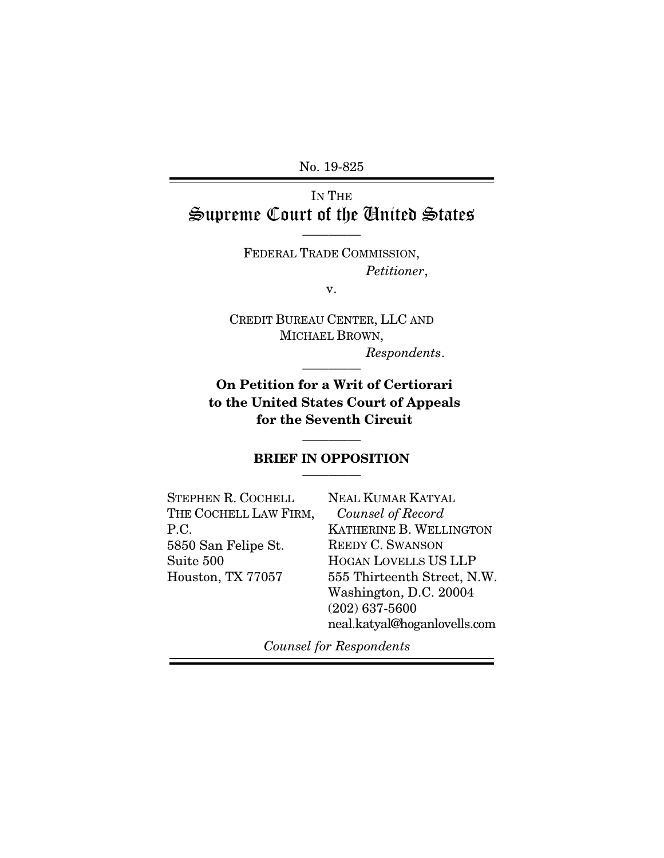No. 19-825

# IN THE Supreme Court of the United States  $\overline{\phantom{a}}$  . The set of  $\overline{\phantom{a}}$

FEDERAL TRADE COMMISSION, *Petitioner*,

v.

CREDIT BUREAU CENTER, LLC AND MICHAEL BROWN, *Respondents*.

 $\overline{\phantom{a}}$  . The set of  $\overline{\phantom{a}}$ 

On Petition for a Writ of Certiorari to the United States Court of Appeals for the Seventh Circuit

#### BRIEF IN OPPOSITION  $\overline{\phantom{a}}$  . The set of  $\overline{\phantom{a}}$

 $\overline{\phantom{a}}$  . The set of  $\overline{\phantom{a}}$ 

| <b>NEAL KUMAR KATYAL</b>     |
|------------------------------|
| Counsel of Record            |
| KATHERINE B. WELLINGTON      |
| <b>REEDY C. SWANSON</b>      |
| HOGAN LOVELLS US LLP         |
| 555 Thirteenth Street, N.W.  |
| Washington, D.C. 20004       |
| $(202)$ 637-5600             |
| neal.katyal@hoganlovells.com |
|                              |

*Counsel for Respondents*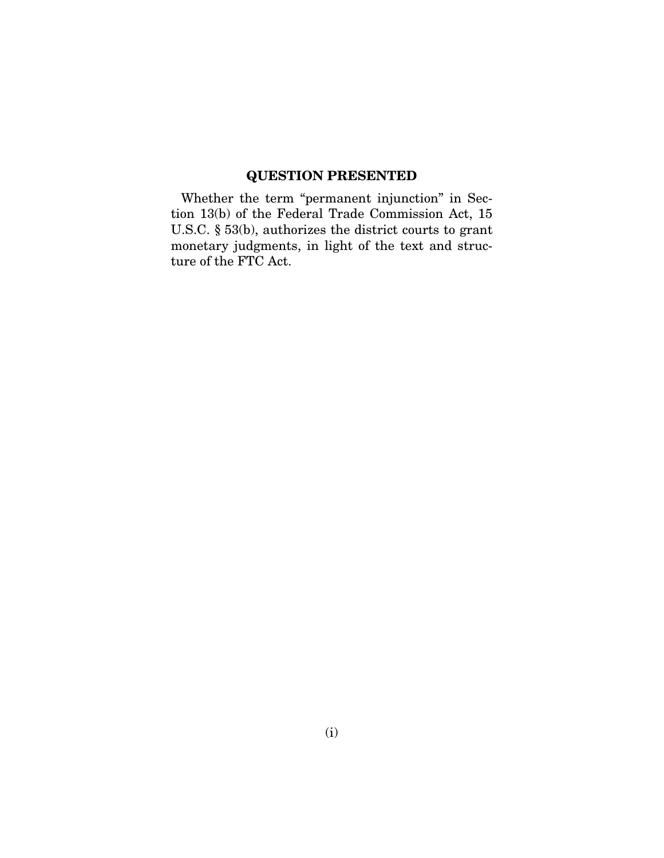## QUESTION PRESENTED

Whether the term "permanent injunction" in Section 13(b) of the Federal Trade Commission Act, 15 U.S.C. § 53(b), authorizes the district courts to grant monetary judgments, in light of the text and structure of the FTC Act.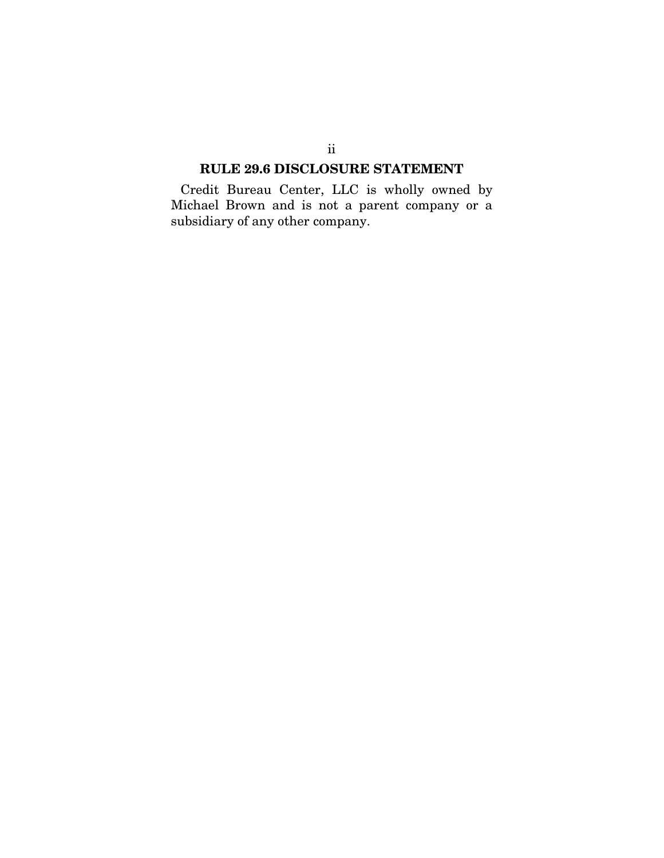### RULE 29.6 DISCLOSURE STATEMENT

Credit Bureau Center, LLC is wholly owned by Michael Brown and is not a parent company or a subsidiary of any other company.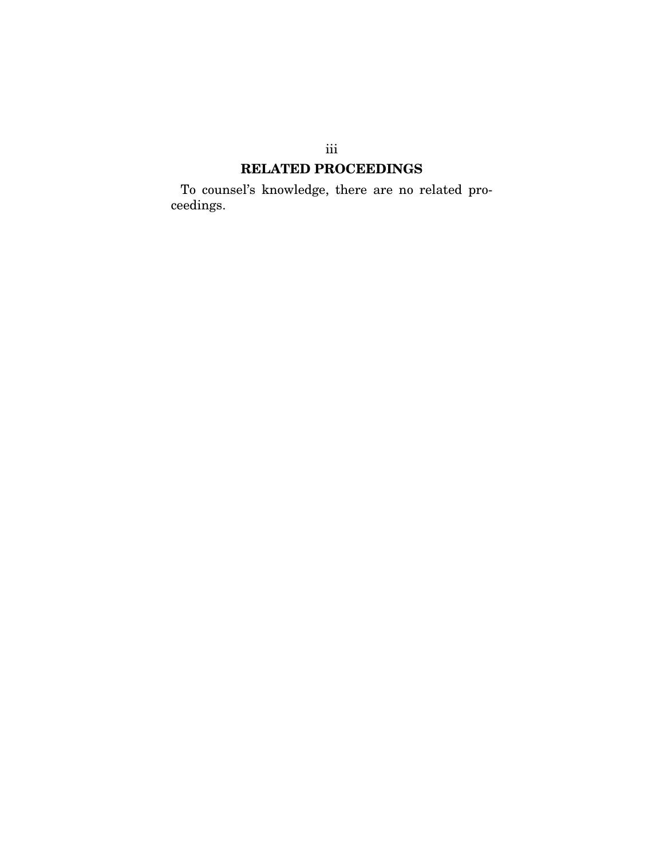# RELATED PROCEEDINGS

To counsel's knowledge, there are no related proceedings.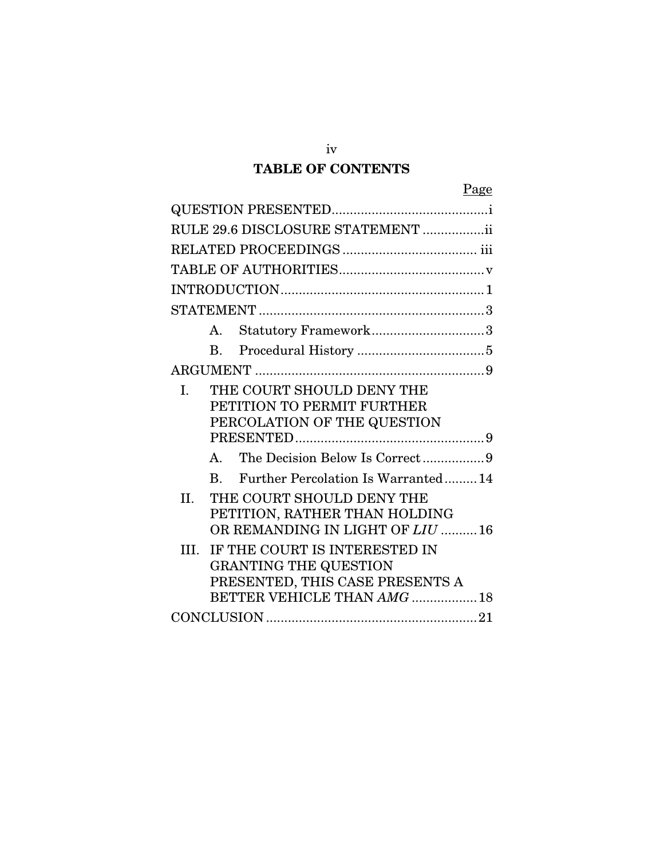# TABLE OF CONTENTS

|--|

|      |                | RULE 29.6 DISCLOSURE STATEMENT ii                                                                                               |
|------|----------------|---------------------------------------------------------------------------------------------------------------------------------|
|      |                |                                                                                                                                 |
|      |                |                                                                                                                                 |
|      |                |                                                                                                                                 |
|      |                |                                                                                                                                 |
|      | A.             | Statutory Framework3                                                                                                            |
|      | $\mathbf{B}$ . |                                                                                                                                 |
|      |                |                                                                                                                                 |
| L.   |                | THE COURT SHOULD DENY THE<br>PETITION TO PERMIT FURTHER<br>PERCOLATION OF THE QUESTION                                          |
|      | $\mathbf{A}$   | The Decision Below Is Correct9                                                                                                  |
|      | $\mathbf{R}$   | Further Percolation Is Warranted14                                                                                              |
| II.  |                | THE COURT SHOULD DENY THE<br>PETITION, RATHER THAN HOLDING<br>OR REMANDING IN LIGHT OF LIU 16                                   |
| III. |                | IF THE COURT IS INTERESTED IN<br><b>GRANTING THE QUESTION</b><br>PRESENTED, THIS CASE PRESENTS A<br>BETTER VEHICLE THAN AMG  18 |
|      |                |                                                                                                                                 |

iv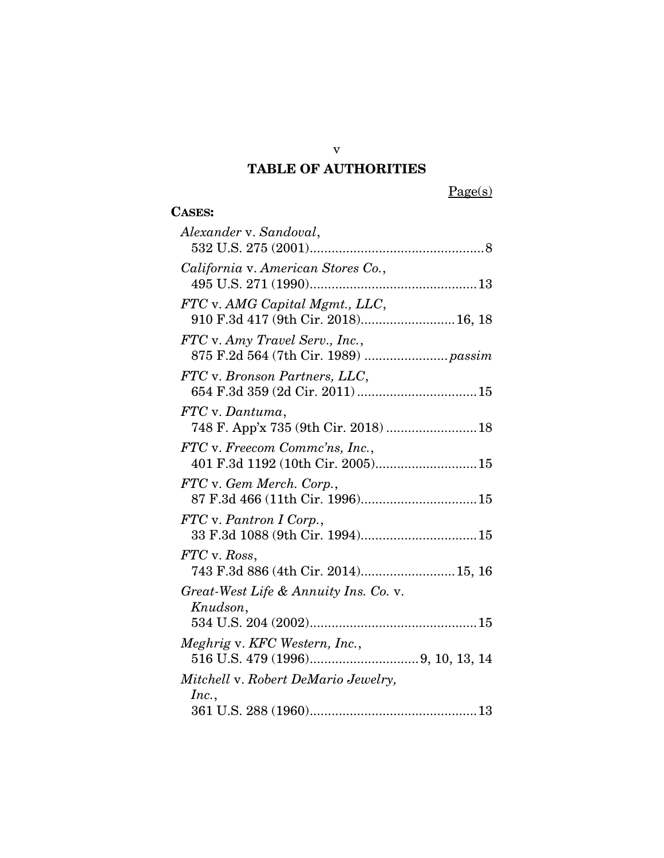# TABLE OF AUTHORITIES

Page(s)

# CASES:

| Alexander v. Sandoval,                                                 |
|------------------------------------------------------------------------|
| California v. American Stores Co.,                                     |
| FTC v. AMG Capital Mgmt., LLC,<br>910 F.3d 417 (9th Cir. 2018) 16, 18  |
| FTC v. Amy Travel Serv., Inc.,<br>875 F.2d 564 (7th Cir. 1989)  passim |
| FTC v. Bronson Partners, LLC,                                          |
| FTC v. Dantuma,<br>748 F. App'x 735 (9th Cir. 2018)  18                |
| FTC v. Freecom Commc'ns, Inc.,<br>401 F.3d 1192 (10th Cir. 2005)15     |
| FTC v. Gem Merch. Corp.,                                               |
| FTC v. Pantron I Corp.,                                                |
| FTC v. Ross,<br>743 F.3d 886 (4th Cir. 2014) 15, 16                    |
| Great-West Life & Annuity Ins. Co. v.<br>Knudson,                      |
| Meghrig v. KFC Western, Inc.,                                          |
| Mitchell v. Robert DeMario Jewelry,<br>Inc.,                           |
|                                                                        |

v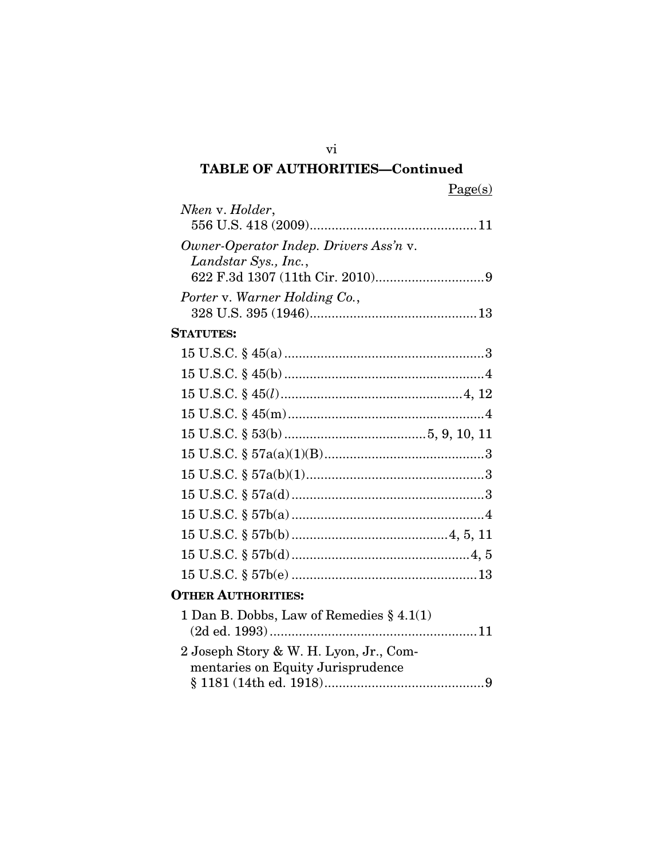# TABLE OF AUTHORITIES—Continued

| Nken v. Holder,                             |  |
|---------------------------------------------|--|
| Owner-Operator Indep. Drivers Ass'n v.      |  |
| Landstar Sys., Inc.,                        |  |
|                                             |  |
| Porter v. Warner Holding Co.,               |  |
| <b>STATUTES:</b>                            |  |
|                                             |  |
|                                             |  |
|                                             |  |
|                                             |  |
|                                             |  |
|                                             |  |
|                                             |  |
|                                             |  |
|                                             |  |
|                                             |  |
|                                             |  |
|                                             |  |
| <b>OTHER AUTHORITIES:</b>                   |  |
| 1 Dan B. Dobbs, Law of Remedies $\S 4.1(1)$ |  |
| 2 Joseph Story & W. H. Lyon, Jr., Com-      |  |
| mentaries on Equity Jurisprudence           |  |

vi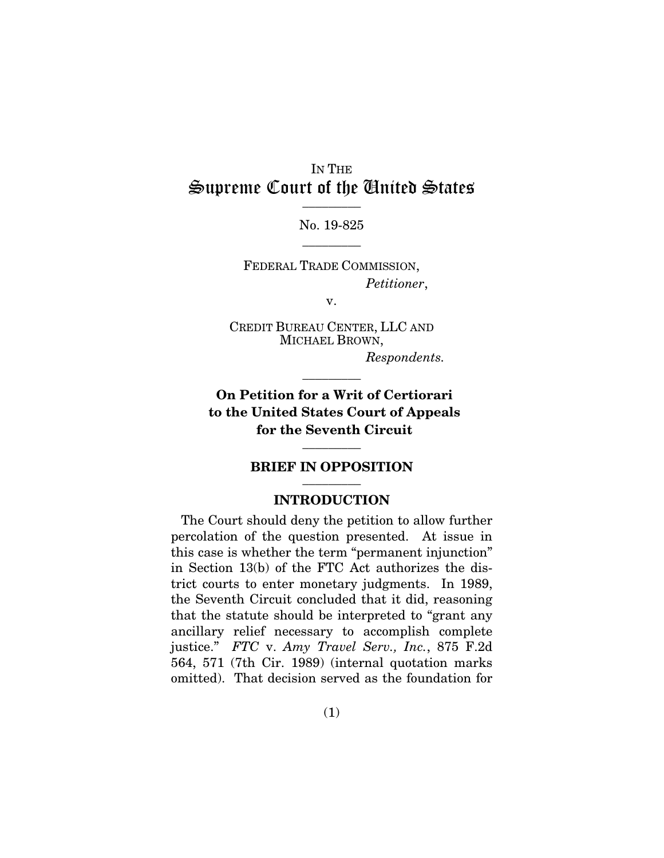### IN THE Supreme Court of the United States  $\overline{\phantom{a}}$  . The set of  $\overline{\phantom{a}}$

No. 19-825  $\overline{\phantom{a}}$  . The set of  $\overline{\phantom{a}}$ 

FEDERAL TRADE COMMISSION, *Petitioner*,

v.

CREDIT BUREAU CENTER, LLC AND MICHAEL BROWN,

*Respondents.*

On Petition for a Writ of Certiorari to the United States Court of Appeals for the Seventh Circuit

 $\overline{\phantom{a}}$  . The set of  $\overline{\phantom{a}}$ 

#### BRIEF IN OPPOSITION  $\overline{\phantom{a}}$  . The set of  $\overline{\phantom{a}}$

 $\overline{\phantom{a}}$  . The set of  $\overline{\phantom{a}}$ 

#### INTRODUCTION

The Court should deny the petition to allow further percolation of the question presented. At issue in this case is whether the term "permanent injunction" in Section 13(b) of the FTC Act authorizes the district courts to enter monetary judgments. In 1989, the Seventh Circuit concluded that it did, reasoning that the statute should be interpreted to "grant any ancillary relief necessary to accomplish complete justice." *FTC* v. *Amy Travel Serv., Inc.*, 875 F.2d 564, 571 (7th Cir. 1989) (internal quotation marks omitted). That decision served as the foundation for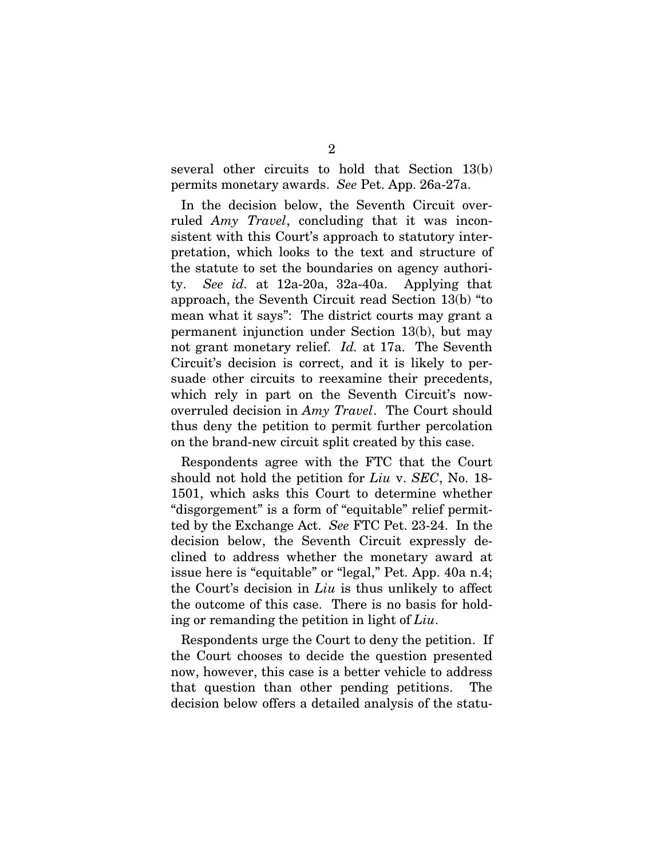several other circuits to hold that Section 13(b) permits monetary awards. *See* Pet. App. 26a-27a.

In the decision below, the Seventh Circuit overruled *Amy Travel*, concluding that it was inconsistent with this Court's approach to statutory interpretation, which looks to the text and structure of the statute to set the boundaries on agency authority. *See id.* at 12a-20a, 32a-40a. Applying that approach, the Seventh Circuit read Section 13(b) "to mean what it says": The district courts may grant a permanent injunction under Section 13(b), but may not grant monetary relief. *Id.* at 17a. The Seventh Circuit's decision is correct, and it is likely to persuade other circuits to reexamine their precedents, which rely in part on the Seventh Circuit's nowoverruled decision in *Amy Travel*. The Court should thus deny the petition to permit further percolation on the brand-new circuit split created by this case.

Respondents agree with the FTC that the Court should not hold the petition for *Liu* v. *SEC*, No. 18- 1501, which asks this Court to determine whether "disgorgement" is a form of "equitable" relief permitted by the Exchange Act. *See* FTC Pet. 23-24. In the decision below, the Seventh Circuit expressly declined to address whether the monetary award at issue here is "equitable" or "legal," Pet. App. 40a n.4; the Court's decision in *Liu* is thus unlikely to affect the outcome of this case. There is no basis for holding or remanding the petition in light of *Liu*.

Respondents urge the Court to deny the petition. If the Court chooses to decide the question presented now, however, this case is a better vehicle to address that question than other pending petitions. The decision below offers a detailed analysis of the statu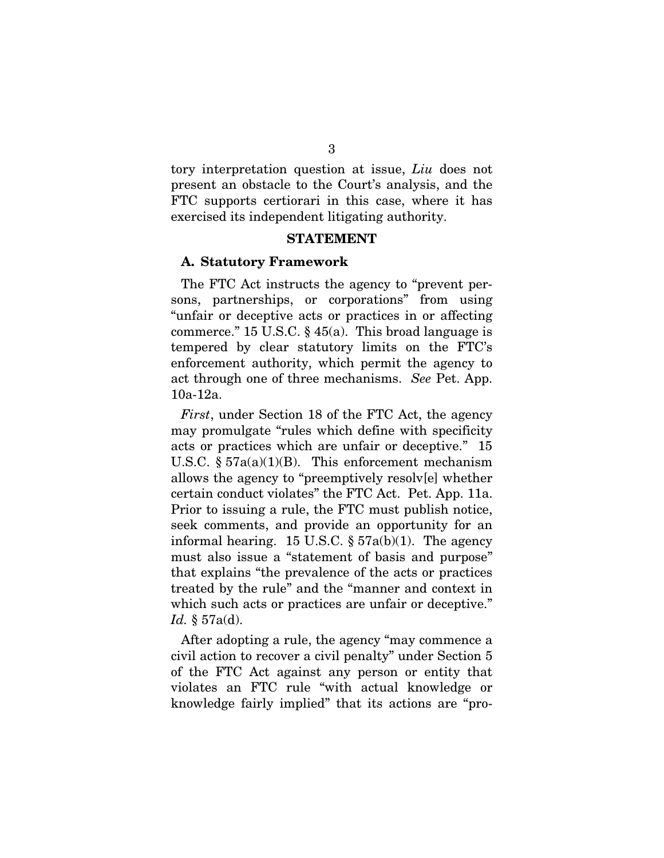tory interpretation question at issue, *Liu* does not present an obstacle to the Court's analysis, and the FTC supports certiorari in this case, where it has exercised its independent litigating authority.

#### STATEMENT

#### A. Statutory Framework

The FTC Act instructs the agency to "prevent persons, partnerships, or corporations" from using "unfair or deceptive acts or practices in or affecting commerce." 15 U.S.C.  $\S$  45(a). This broad language is tempered by clear statutory limits on the FTC's enforcement authority, which permit the agency to act through one of three mechanisms. *See* Pet. App. 10a-12a.

*First*, under Section 18 of the FTC Act, the agency may promulgate "rules which define with specificity acts or practices which are unfair or deceptive." 15 U.S.C.  $\S 57a(a)(1)(B)$ . This enforcement mechanism allows the agency to "preemptively resolv[e] whether certain conduct violates" the FTC Act. Pet. App. 11a. Prior to issuing a rule, the FTC must publish notice, seek comments, and provide an opportunity for an informal hearing. 15 U.S.C.  $\S 57a(b)(1)$ . The agency must also issue a "statement of basis and purpose" that explains "the prevalence of the acts or practices treated by the rule" and the "manner and context in which such acts or practices are unfair or deceptive." *Id.* § 57a(d).

After adopting a rule, the agency "may commence a civil action to recover a civil penalty" under Section 5 of the FTC Act against any person or entity that violates an FTC rule "with actual knowledge or knowledge fairly implied" that its actions are "pro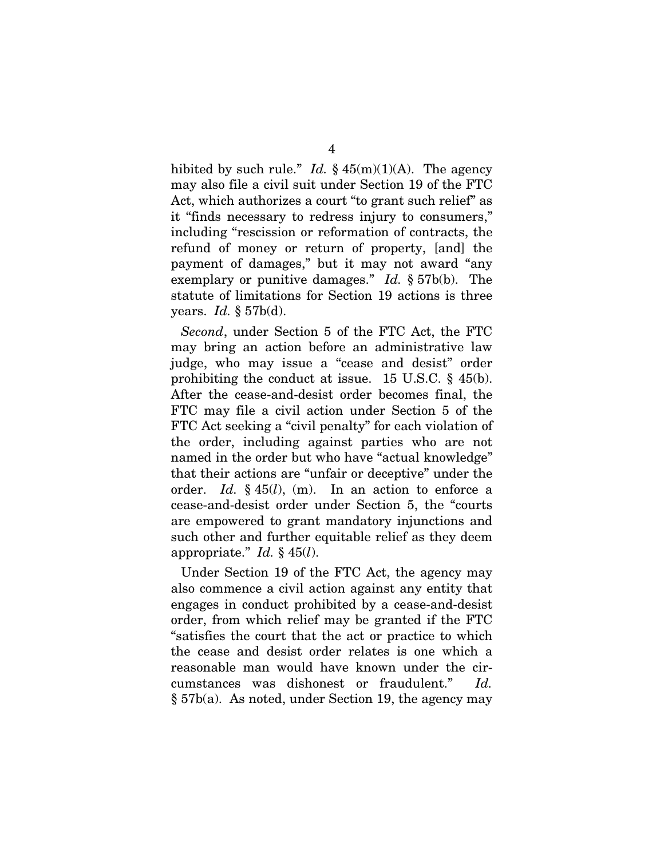hibited by such rule." *Id.*  $\frac{1}{2}$  45(m)(1)(A). The agency may also file a civil suit under Section 19 of the FTC Act, which authorizes a court "to grant such relief" as it "finds necessary to redress injury to consumers," including "rescission or reformation of contracts, the refund of money or return of property, [and] the payment of damages," but it may not award "any exemplary or punitive damages." *Id.* § 57b(b). The statute of limitations for Section 19 actions is three years. *Id.* § 57b(d).

*Second*, under Section 5 of the FTC Act, the FTC may bring an action before an administrative law judge, who may issue a "cease and desist" order prohibiting the conduct at issue. 15 U.S.C. § 45(b). After the cease-and-desist order becomes final, the FTC may file a civil action under Section 5 of the FTC Act seeking a "civil penalty" for each violation of the order, including against parties who are not named in the order but who have "actual knowledge" that their actions are "unfair or deceptive" under the order. *Id.* § 45(*l*), (m). In an action to enforce a cease-and-desist order under Section 5, the "courts are empowered to grant mandatory injunctions and such other and further equitable relief as they deem appropriate." *Id.* § 45(*l*).

Under Section 19 of the FTC Act, the agency may also commence a civil action against any entity that engages in conduct prohibited by a cease-and-desist order, from which relief may be granted if the FTC "satisfies the court that the act or practice to which the cease and desist order relates is one which a reasonable man would have known under the circumstances was dishonest or fraudulent." *Id.*  § 57b(a). As noted, under Section 19, the agency may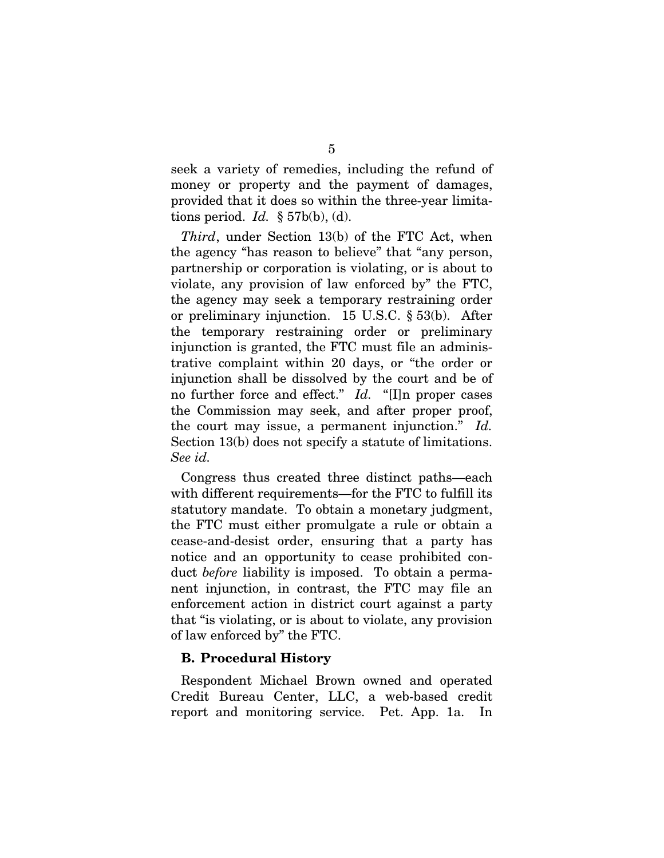seek a variety of remedies, including the refund of money or property and the payment of damages, provided that it does so within the three-year limitations period. *Id.* § 57b(b), (d).

*Third*, under Section 13(b) of the FTC Act, when the agency "has reason to believe" that "any person, partnership or corporation is violating, or is about to violate, any provision of law enforced by" the FTC, the agency may seek a temporary restraining order or preliminary injunction. 15 U.S.C. § 53(b). After the temporary restraining order or preliminary injunction is granted, the FTC must file an administrative complaint within 20 days, or "the order or injunction shall be dissolved by the court and be of no further force and effect." *Id.* "[I]n proper cases the Commission may seek, and after proper proof, the court may issue, a permanent injunction." *Id.*  Section 13(b) does not specify a statute of limitations. *See id.*

Congress thus created three distinct paths—each with different requirements—for the FTC to fulfill its statutory mandate. To obtain a monetary judgment, the FTC must either promulgate a rule or obtain a cease-and-desist order, ensuring that a party has notice and an opportunity to cease prohibited conduct *before* liability is imposed. To obtain a permanent injunction, in contrast, the FTC may file an enforcement action in district court against a party that "is violating, or is about to violate, any provision of law enforced by" the FTC.

### B. Procedural History

Respondent Michael Brown owned and operated Credit Bureau Center, LLC, a web-based credit report and monitoring service. Pet. App. 1a. In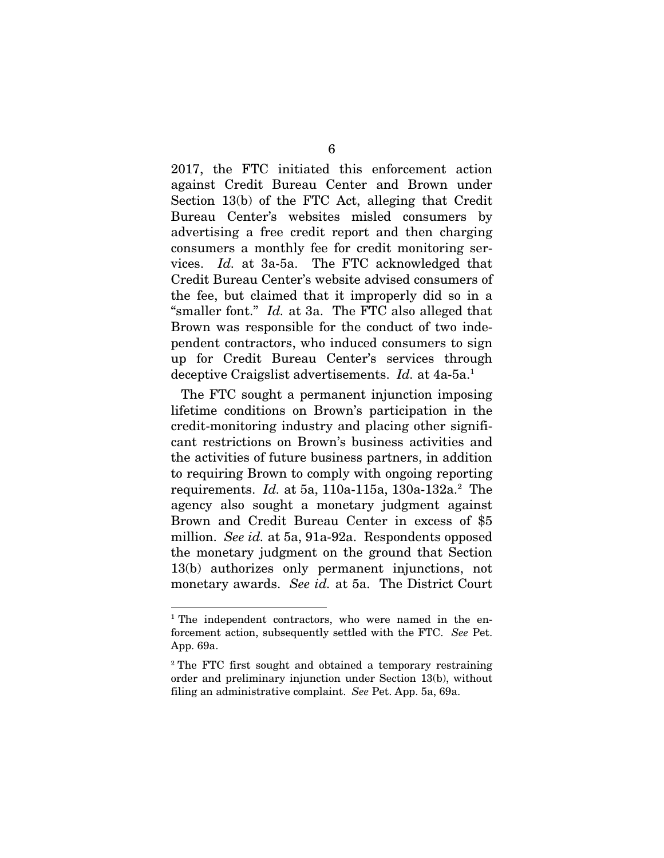2017, the FTC initiated this enforcement action against Credit Bureau Center and Brown under Section 13(b) of the FTC Act, alleging that Credit Bureau Center's websites misled consumers by advertising a free credit report and then charging consumers a monthly fee for credit monitoring services. *Id.* at 3a-5a. The FTC acknowledged that Credit Bureau Center's website advised consumers of the fee, but claimed that it improperly did so in a "smaller font." *Id.* at 3a. The FTC also alleged that Brown was responsible for the conduct of two independent contractors, who induced consumers to sign up for Credit Bureau Center's services through deceptive Craigslist advertisements. *Id.* at 4a-5a.<sup>1</sup>

The FTC sought a permanent injunction imposing lifetime conditions on Brown's participation in the credit-monitoring industry and placing other significant restrictions on Brown's business activities and the activities of future business partners, in addition to requiring Brown to comply with ongoing reporting requirements. *Id.* at 5a, 110a-115a, 130a-132a.<sup>2</sup> The agency also sought a monetary judgment against Brown and Credit Bureau Center in excess of \$5 million. *See id.* at 5a, 91a-92a. Respondents opposed the monetary judgment on the ground that Section 13(b) authorizes only permanent injunctions, not monetary awards. *See id.* at 5a. The District Court

<sup>&</sup>lt;sup>1</sup> The independent contractors, who were named in the enforcement action, subsequently settled with the FTC. *See* Pet. App. 69a.

<sup>2</sup> The FTC first sought and obtained a temporary restraining order and preliminary injunction under Section 13(b), without filing an administrative complaint. *See* Pet. App. 5a, 69a.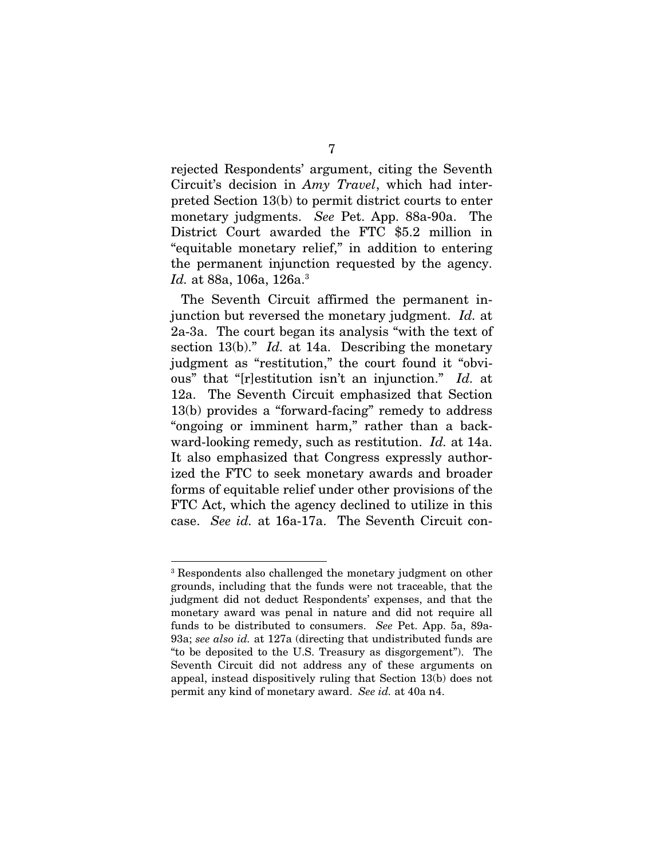rejected Respondents' argument, citing the Seventh Circuit's decision in *Amy Travel*, which had interpreted Section 13(b) to permit district courts to enter monetary judgments. *See* Pet. App. 88a-90a. The District Court awarded the FTC \$5.2 million in "equitable monetary relief," in addition to entering the permanent injunction requested by the agency. *Id.* at 88a, 106a, 126a.<sup>3</sup>

The Seventh Circuit affirmed the permanent injunction but reversed the monetary judgment. *Id.* at 2a-3a. The court began its analysis "with the text of section 13(b)." *Id.* at 14a. Describing the monetary judgment as "restitution," the court found it "obvious" that "[r]estitution isn't an injunction." *Id.* at 12a. The Seventh Circuit emphasized that Section 13(b) provides a "forward-facing" remedy to address "ongoing or imminent harm," rather than a backward-looking remedy, such as restitution. *Id.* at 14a. It also emphasized that Congress expressly authorized the FTC to seek monetary awards and broader forms of equitable relief under other provisions of the FTC Act, which the agency declined to utilize in this case. *See id.* at 16a-17a. The Seventh Circuit con-

<sup>3</sup> Respondents also challenged the monetary judgment on other grounds, including that the funds were not traceable, that the judgment did not deduct Respondents' expenses, and that the monetary award was penal in nature and did not require all funds to be distributed to consumers. *See* Pet. App. 5a, 89a-93a; *see also id.* at 127a (directing that undistributed funds are "to be deposited to the U.S. Treasury as disgorgement"). The Seventh Circuit did not address any of these arguments on appeal, instead dispositively ruling that Section 13(b) does not permit any kind of monetary award. *See id.* at 40a n4.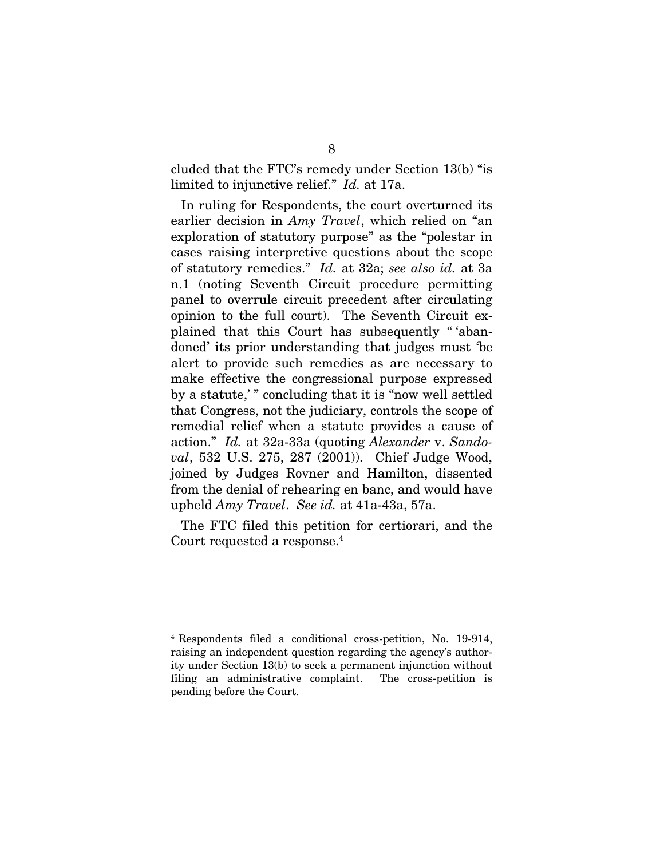cluded that the FTC's remedy under Section 13(b) "is limited to injunctive relief." *Id.* at 17a.

In ruling for Respondents, the court overturned its earlier decision in *Amy Travel*, which relied on "an exploration of statutory purpose" as the "polestar in cases raising interpretive questions about the scope of statutory remedies." *Id.* at 32a; *see also id.* at 3a n.1 (noting Seventh Circuit procedure permitting panel to overrule circuit precedent after circulating opinion to the full court). The Seventh Circuit explained that this Court has subsequently " 'abandoned' its prior understanding that judges must 'be alert to provide such remedies as are necessary to make effective the congressional purpose expressed by a statute,' " concluding that it is "now well settled that Congress, not the judiciary, controls the scope of remedial relief when a statute provides a cause of action." *Id.* at 32a-33a (quoting *Alexander* v. *Sandoval*, 532 U.S. 275, 287 (2001)). Chief Judge Wood, joined by Judges Rovner and Hamilton, dissented from the denial of rehearing en banc, and would have upheld *Amy Travel*. *See id.* at 41a-43a, 57a.

The FTC filed this petition for certiorari, and the Court requested a response.<sup>4</sup>

<sup>4</sup> Respondents filed a conditional cross-petition, No. 19-914, raising an independent question regarding the agency's authority under Section 13(b) to seek a permanent injunction without filing an administrative complaint. The cross-petition is pending before the Court.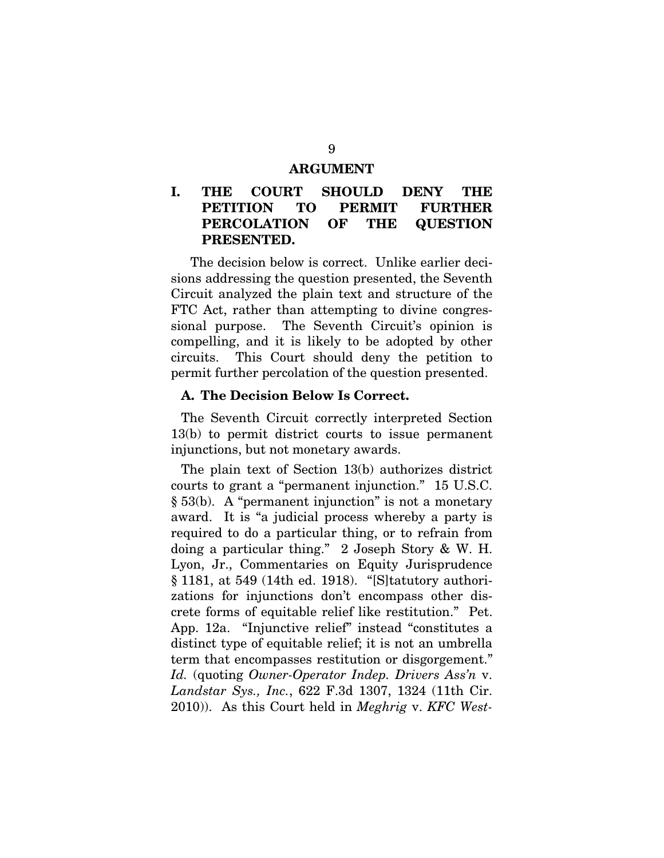#### ARGUMENT

### I. THE COURT SHOULD DENY THE PETITION TO PERMIT FURTHER PERCOLATION OF THE QUESTION PRESENTED.

The decision below is correct. Unlike earlier decisions addressing the question presented, the Seventh Circuit analyzed the plain text and structure of the FTC Act, rather than attempting to divine congressional purpose. The Seventh Circuit's opinion is compelling, and it is likely to be adopted by other circuits. This Court should deny the petition to permit further percolation of the question presented.

#### A. The Decision Below Is Correct.

The Seventh Circuit correctly interpreted Section 13(b) to permit district courts to issue permanent injunctions, but not monetary awards.

The plain text of Section 13(b) authorizes district courts to grant a "permanent injunction." 15 U.S.C. § 53(b). A "permanent injunction" is not a monetary award. It is "a judicial process whereby a party is required to do a particular thing, or to refrain from doing a particular thing." 2 Joseph Story & W. H. Lyon, Jr., Commentaries on Equity Jurisprudence § 1181, at 549 (14th ed. 1918). "[S]tatutory authorizations for injunctions don't encompass other discrete forms of equitable relief like restitution." Pet. App. 12a. "Injunctive relief" instead "constitutes a distinct type of equitable relief; it is not an umbrella term that encompasses restitution or disgorgement." *Id.* (quoting *Owner-Operator Indep. Drivers Ass'n* v. *Landstar Sys., Inc.*, 622 F.3d 1307, 1324 (11th Cir. 2010)). As this Court held in *Meghrig* v. *KFC West-*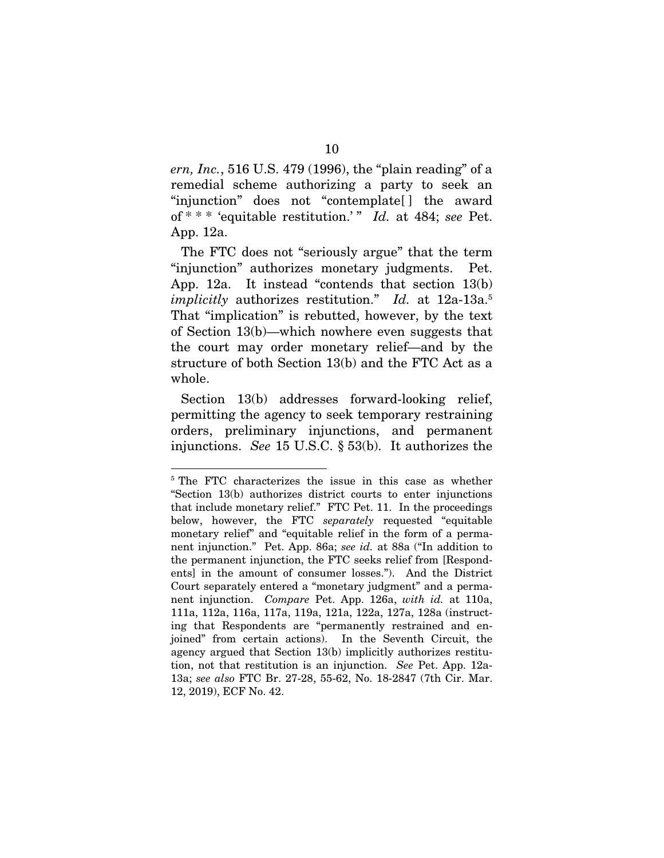*ern, Inc.*, 516 U.S. 479 (1996), the "plain reading" of a remedial scheme authorizing a party to seek an "injunction" does not "contemplate[ ] the award of \* \* \* 'equitable restitution.' " *Id.* at 484; *see* Pet. App. 12a.

The FTC does not "seriously argue" that the term "injunction" authorizes monetary judgments. Pet. App. 12a. It instead "contends that section 13(b) *implicitly* authorizes restitution." *Id.* at 12a-13a.<sup>5</sup> That "implication" is rebutted, however, by the text of Section 13(b)—which nowhere even suggests that the court may order monetary relief—and by the structure of both Section 13(b) and the FTC Act as a whole.

Section 13(b) addresses forward-looking relief, permitting the agency to seek temporary restraining orders, preliminary injunctions, and permanent injunctions. *See* 15 U.S.C. § 53(b). It authorizes the

<sup>5</sup> The FTC characterizes the issue in this case as whether "Section 13(b) authorizes district courts to enter injunctions that include monetary relief." FTC Pet. 11. In the proceedings below, however, the FTC *separately* requested "equitable monetary relief" and "equitable relief in the form of a permanent injunction." Pet. App. 86a; *see id.* at 88a ("In addition to the permanent injunction, the FTC seeks relief from [Respondents] in the amount of consumer losses."). And the District Court separately entered a "monetary judgment" and a permanent injunction. *Compare* Pet. App. 126a, *with id.* at 110a, 111a, 112a, 116a, 117a, 119a, 121a, 122a, 127a, 128a (instructing that Respondents are "permanently restrained and enjoined" from certain actions). In the Seventh Circuit, the agency argued that Section 13(b) implicitly authorizes restitution, not that restitution is an injunction. *See* Pet. App. 12a-13a; *see also* FTC Br. 27-28, 55-62, No. 18-2847 (7th Cir. Mar. 12, 2019), ECF No. 42.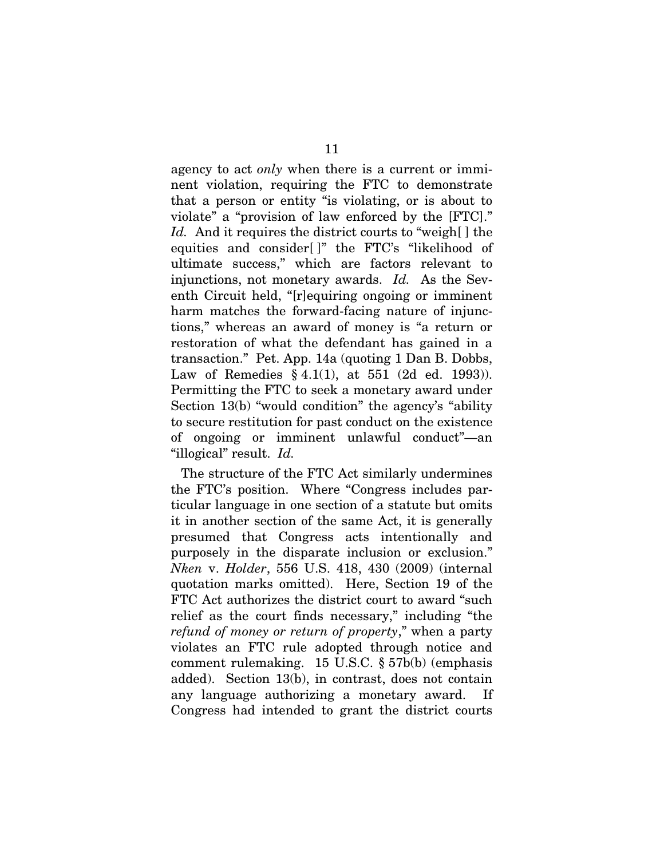agency to act *only* when there is a current or imminent violation, requiring the FTC to demonstrate that a person or entity "is violating, or is about to violate" a "provision of law enforced by the [FTC]." *Id.* And it requires the district courts to "weigh[ ] the equities and consider[ ]" the FTC's "likelihood of ultimate success," which are factors relevant to injunctions, not monetary awards. *Id.* As the Seventh Circuit held, "[r]equiring ongoing or imminent harm matches the forward-facing nature of injunctions," whereas an award of money is "a return or restoration of what the defendant has gained in a transaction." Pet. App. 14a (quoting 1 Dan B. Dobbs, Law of Remedies § 4.1(1), at 551 (2d ed. 1993)). Permitting the FTC to seek a monetary award under Section 13(b) "would condition" the agency's "ability to secure restitution for past conduct on the existence of ongoing or imminent unlawful conduct"—an "illogical" result. *Id.*

The structure of the FTC Act similarly undermines the FTC's position. Where "Congress includes particular language in one section of a statute but omits it in another section of the same Act, it is generally presumed that Congress acts intentionally and purposely in the disparate inclusion or exclusion." *Nken* v. *Holder*, 556 U.S. 418, 430 (2009) (internal quotation marks omitted). Here, Section 19 of the FTC Act authorizes the district court to award "such relief as the court finds necessary," including "the *refund of money or return of property*," when a party violates an FTC rule adopted through notice and comment rulemaking. 15 U.S.C. § 57b(b) (emphasis added). Section 13(b), in contrast, does not contain any language authorizing a monetary award. If Congress had intended to grant the district courts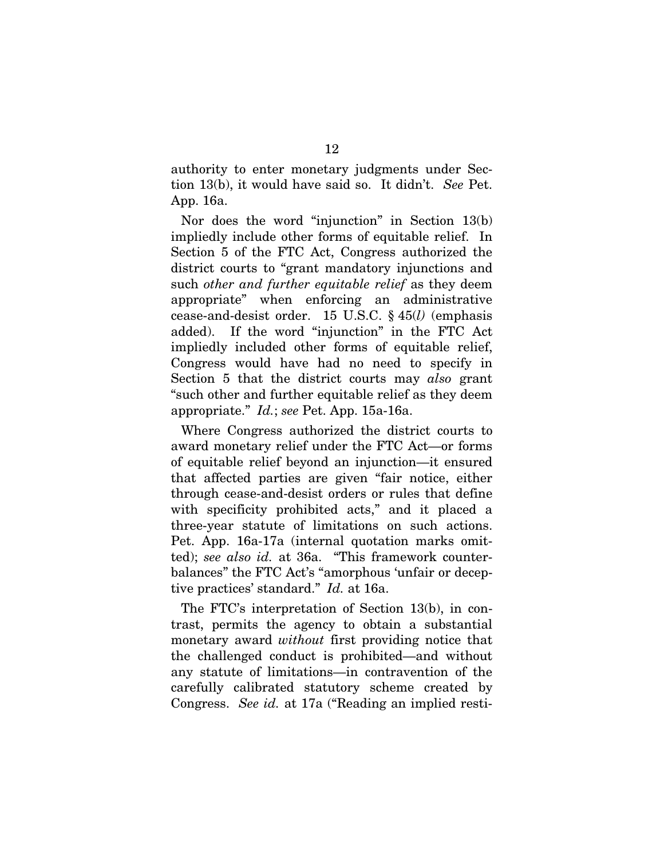authority to enter monetary judgments under Section 13(b), it would have said so. It didn't. *See* Pet. App. 16a.

Nor does the word "injunction" in Section 13(b) impliedly include other forms of equitable relief. In Section 5 of the FTC Act, Congress authorized the district courts to "grant mandatory injunctions and such *other and further equitable relief* as they deem appropriate" when enforcing an administrative cease-and-desist order. 15 U.S.C. § 45(*l)* (emphasis added). If the word "injunction" in the FTC Act impliedly included other forms of equitable relief, Congress would have had no need to specify in Section 5 that the district courts may *also* grant "such other and further equitable relief as they deem appropriate." *Id.*; *see* Pet. App. 15a-16a.

Where Congress authorized the district courts to award monetary relief under the FTC Act—or forms of equitable relief beyond an injunction—it ensured that affected parties are given "fair notice, either through cease-and-desist orders or rules that define with specificity prohibited acts," and it placed a three-year statute of limitations on such actions. Pet. App. 16a-17a (internal quotation marks omitted); *see also id.* at 36a. "This framework counterbalances" the FTC Act's "amorphous 'unfair or deceptive practices' standard." *Id.* at 16a.

The FTC's interpretation of Section 13(b), in contrast, permits the agency to obtain a substantial monetary award *without* first providing notice that the challenged conduct is prohibited—and without any statute of limitations—in contravention of the carefully calibrated statutory scheme created by Congress. *See id.* at 17a ("Reading an implied resti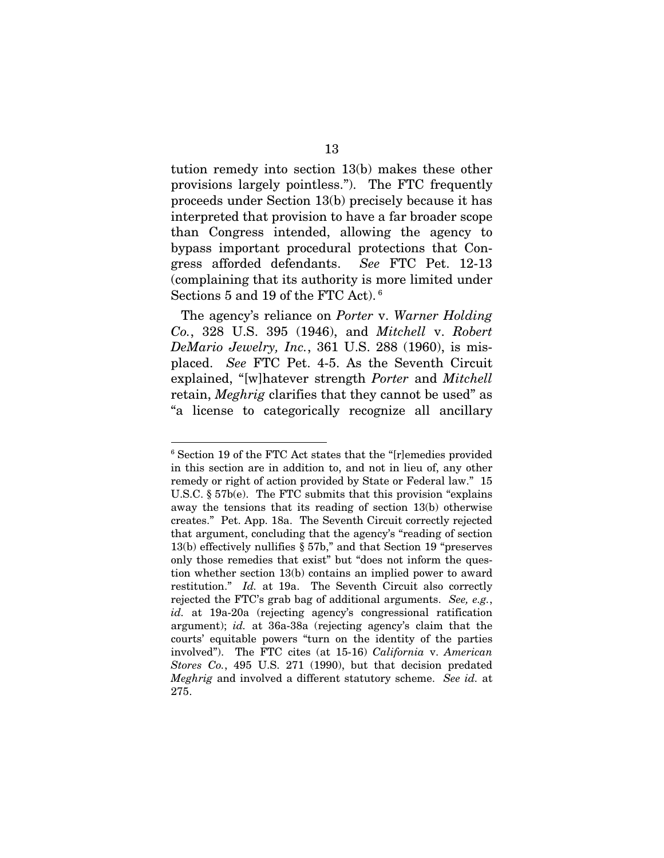tution remedy into section 13(b) makes these other provisions largely pointless."). The FTC frequently proceeds under Section 13(b) precisely because it has interpreted that provision to have a far broader scope than Congress intended, allowing the agency to bypass important procedural protections that Congress afforded defendants. *See* FTC Pet. 12-13 (complaining that its authority is more limited under Sections 5 and 19 of the FTC Act).<sup>6</sup>

The agency's reliance on *Porter* v. *Warner Holding Co.*, 328 U.S. 395 (1946), and *Mitchell* v. *Robert DeMario Jewelry, Inc.*, 361 U.S. 288 (1960), is misplaced. *See* FTC Pet. 4-5. As the Seventh Circuit explained, "[w]hatever strength *Porter* and *Mitchell* retain, *Meghrig* clarifies that they cannot be used" as "a license to categorically recognize all ancillary

<sup>6</sup> Section 19 of the FTC Act states that the "[r]emedies provided in this section are in addition to, and not in lieu of, any other remedy or right of action provided by State or Federal law." 15 U.S.C. § 57b(e). The FTC submits that this provision "explains away the tensions that its reading of section 13(b) otherwise creates." Pet. App. 18a. The Seventh Circuit correctly rejected that argument, concluding that the agency's "reading of section 13(b) effectively nullifies § 57b," and that Section 19 "preserves only those remedies that exist" but "does not inform the question whether section 13(b) contains an implied power to award restitution." *Id.* at 19a. The Seventh Circuit also correctly rejected the FTC's grab bag of additional arguments. *See, e.g.*, *id.* at 19a-20a (rejecting agency's congressional ratification argument); *id.* at 36a-38a (rejecting agency's claim that the courts' equitable powers "turn on the identity of the parties involved"). The FTC cites (at 15-16) *California* v. *American Stores Co.*, 495 U.S. 271 (1990), but that decision predated *Meghrig* and involved a different statutory scheme. *See id.* at 275.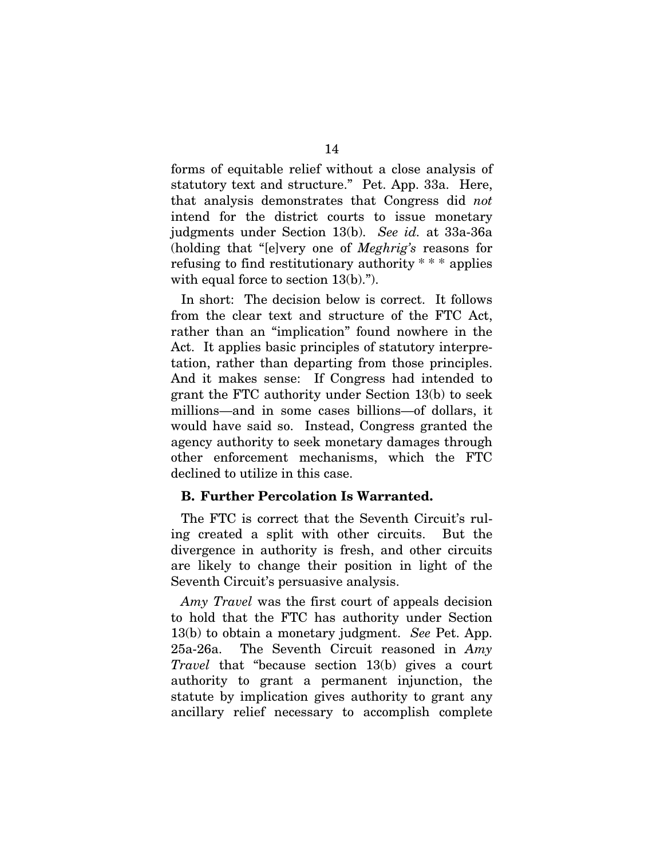forms of equitable relief without a close analysis of statutory text and structure." Pet. App. 33a. Here, that analysis demonstrates that Congress did *not* intend for the district courts to issue monetary judgments under Section 13(b). *See id.* at 33a-36a (holding that "[e]very one of *Meghrig's* reasons for refusing to find restitutionary authority \* \* \* applies with equal force to section 13(b).").

In short: The decision below is correct. It follows from the clear text and structure of the FTC Act, rather than an "implication" found nowhere in the Act. It applies basic principles of statutory interpretation, rather than departing from those principles. And it makes sense: If Congress had intended to grant the FTC authority under Section 13(b) to seek millions—and in some cases billions—of dollars, it would have said so. Instead, Congress granted the agency authority to seek monetary damages through other enforcement mechanisms, which the FTC declined to utilize in this case.

### B. Further Percolation Is Warranted.

The FTC is correct that the Seventh Circuit's ruling created a split with other circuits. But the divergence in authority is fresh, and other circuits are likely to change their position in light of the Seventh Circuit's persuasive analysis.

*Amy Travel* was the first court of appeals decision to hold that the FTC has authority under Section 13(b) to obtain a monetary judgment. *See* Pet. App. 25a-26a. The Seventh Circuit reasoned in *Amy Travel* that "because section 13(b) gives a court authority to grant a permanent injunction, the statute by implication gives authority to grant any ancillary relief necessary to accomplish complete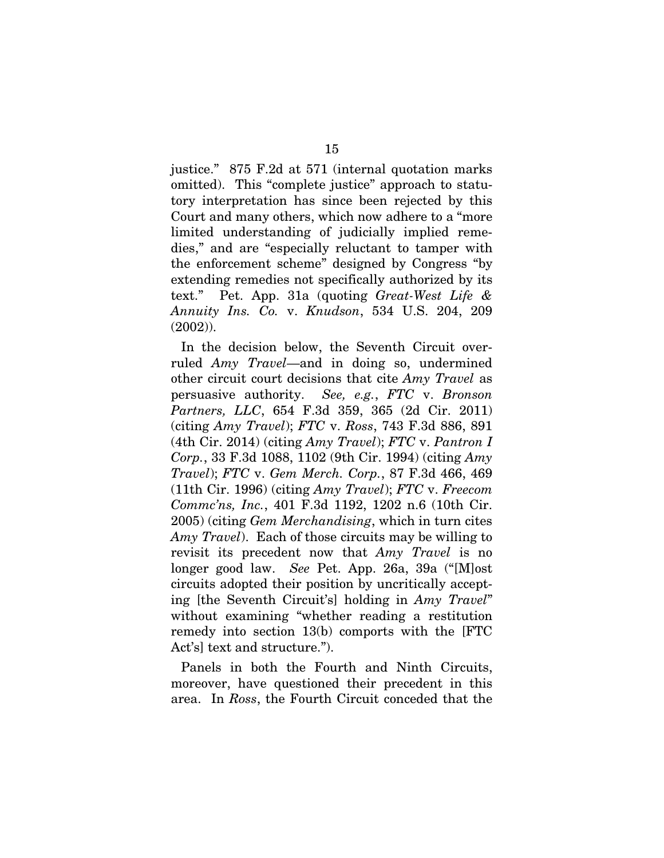justice." 875 F.2d at 571 (internal quotation marks omitted). This "complete justice" approach to statutory interpretation has since been rejected by this Court and many others, which now adhere to a "more limited understanding of judicially implied remedies," and are "especially reluctant to tamper with the enforcement scheme" designed by Congress "by extending remedies not specifically authorized by its text." Pet. App. 31a (quoting *Great-West Life & Annuity Ins. Co.* v. *Knudson*, 534 U.S. 204, 209 (2002)).

In the decision below, the Seventh Circuit overruled *Amy Travel*—and in doing so, undermined other circuit court decisions that cite *Amy Travel* as persuasive authority. *See, e.g.*, *FTC* v. *Bronson Partners, LLC*, 654 F.3d 359, 365 (2d Cir. 2011) (citing *Amy Travel*); *FTC* v. *Ross*, 743 F.3d 886, 891 (4th Cir. 2014) (citing *Amy Travel*); *FTC* v. *Pantron I Corp.*, 33 F.3d 1088, 1102 (9th Cir. 1994) (citing *Amy Travel*); *FTC* v. *Gem Merch. Corp.*, 87 F.3d 466, 469 (11th Cir. 1996) (citing *Amy Travel*); *FTC* v. *Freecom Commc'ns, Inc.*, 401 F.3d 1192, 1202 n.6 (10th Cir. 2005) (citing *Gem Merchandising*, which in turn cites *Amy Travel*). Each of those circuits may be willing to revisit its precedent now that *Amy Travel* is no longer good law. *See* Pet. App. 26a, 39a ("[M]ost circuits adopted their position by uncritically accepting [the Seventh Circuit's] holding in *Amy Travel*" without examining "whether reading a restitution remedy into section 13(b) comports with the [FTC Act's] text and structure.").

Panels in both the Fourth and Ninth Circuits, moreover, have questioned their precedent in this area. In *Ross*, the Fourth Circuit conceded that the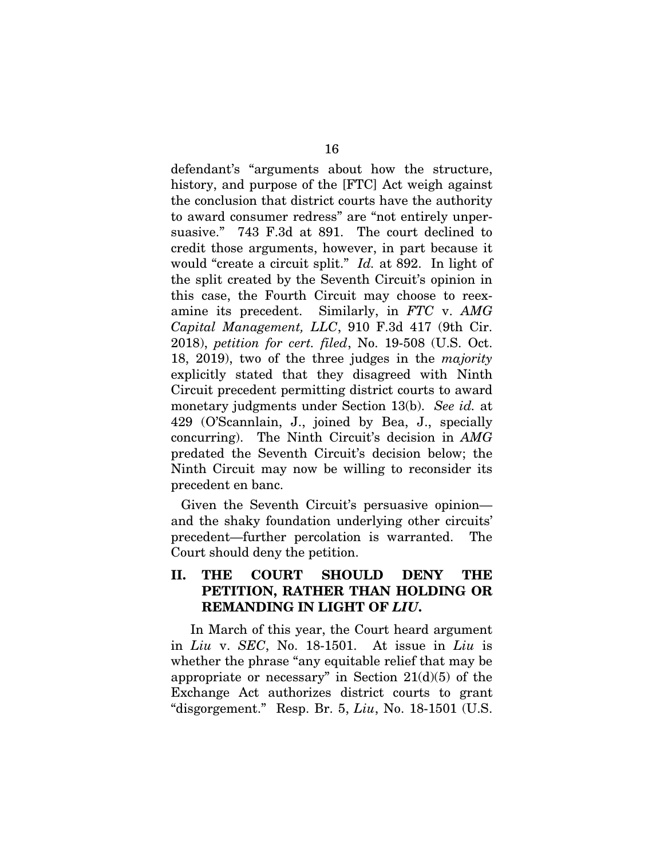defendant's "arguments about how the structure, history, and purpose of the [FTC] Act weigh against the conclusion that district courts have the authority to award consumer redress" are "not entirely unpersuasive." 743 F.3d at 891. The court declined to credit those arguments, however, in part because it would "create a circuit split." *Id.* at 892. In light of the split created by the Seventh Circuit's opinion in this case, the Fourth Circuit may choose to reexamine its precedent. Similarly, in *FTC* v. *AMG Capital Management, LLC*, 910 F.3d 417 (9th Cir. 2018), *petition for cert. filed*, No. 19-508 (U.S. Oct. 18, 2019), two of the three judges in the *majority* explicitly stated that they disagreed with Ninth Circuit precedent permitting district courts to award monetary judgments under Section 13(b). *See id.* at 429 (O'Scannlain, J., joined by Bea, J., specially concurring). The Ninth Circuit's decision in *AMG*  predated the Seventh Circuit's decision below; the Ninth Circuit may now be willing to reconsider its precedent en banc.

Given the Seventh Circuit's persuasive opinion and the shaky foundation underlying other circuits' precedent—further percolation is warranted. The Court should deny the petition.

### II. THE COURT SHOULD DENY THE PETITION, RATHER THAN HOLDING OR REMANDING IN LIGHT OF *LIU*.

In March of this year, the Court heard argument in *Liu* v. *SEC*, No. 18-1501. At issue in *Liu* is whether the phrase "any equitable relief that may be appropriate or necessary" in Section  $21(d)(5)$  of the Exchange Act authorizes district courts to grant "disgorgement." Resp. Br. 5, *Liu*, No. 18-1501 (U.S.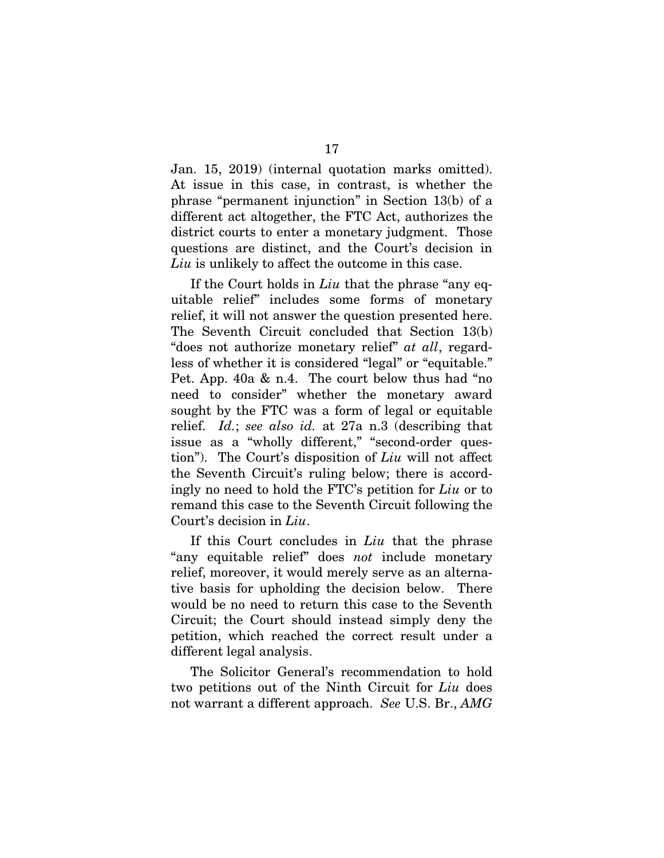Jan. 15, 2019) (internal quotation marks omitted). At issue in this case, in contrast, is whether the phrase "permanent injunction" in Section 13(b) of a different act altogether, the FTC Act, authorizes the district courts to enter a monetary judgment. Those questions are distinct, and the Court's decision in *Liu* is unlikely to affect the outcome in this case.

If the Court holds in *Liu* that the phrase "any equitable relief" includes some forms of monetary relief, it will not answer the question presented here. The Seventh Circuit concluded that Section 13(b) "does not authorize monetary relief" *at all*, regardless of whether it is considered "legal" or "equitable." Pet. App. 40a & n.4. The court below thus had "no need to consider" whether the monetary award sought by the FTC was a form of legal or equitable relief. *Id.*; *see also id.* at 27a n.3 (describing that issue as a "wholly different," "second-order question"). The Court's disposition of *Liu* will not affect the Seventh Circuit's ruling below; there is accordingly no need to hold the FTC's petition for *Liu* or to remand this case to the Seventh Circuit following the Court's decision in *Liu*.

If this Court concludes in *Liu* that the phrase "any equitable relief" does *not* include monetary relief, moreover, it would merely serve as an alternative basis for upholding the decision below. There would be no need to return this case to the Seventh Circuit; the Court should instead simply deny the petition, which reached the correct result under a different legal analysis.

The Solicitor General's recommendation to hold two petitions out of the Ninth Circuit for *Liu* does not warrant a different approach. *See* U.S. Br., *AMG*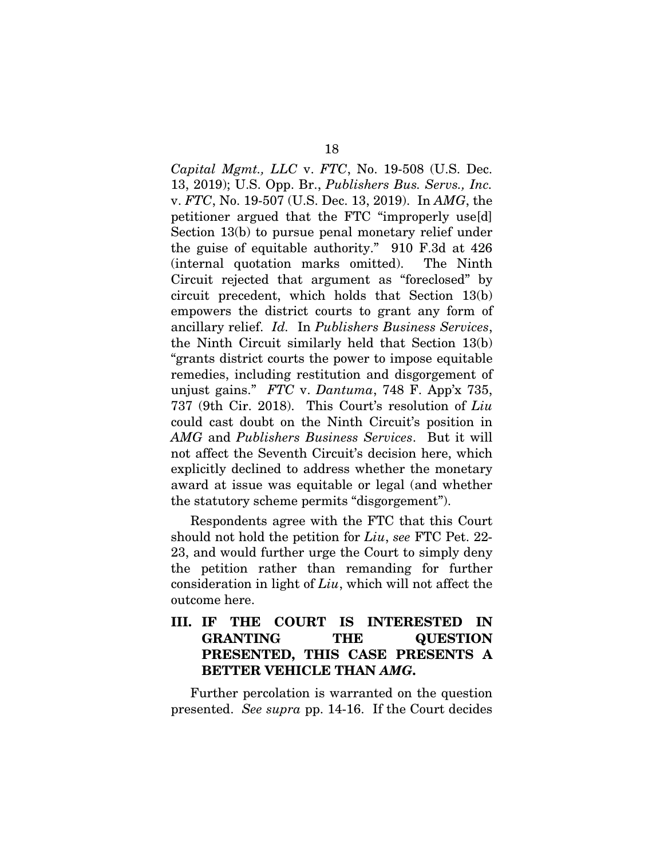*Capital Mgmt., LLC* v. *FTC*, No. 19-508 (U.S. Dec. 13, 2019); U.S. Opp. Br., *Publishers Bus. Servs., Inc.* v. *FTC*, No. 19-507 (U.S. Dec. 13, 2019). In *AMG*, the petitioner argued that the FTC "improperly use[d] Section 13(b) to pursue penal monetary relief under the guise of equitable authority." 910 F.3d at 426 (internal quotation marks omitted). The Ninth Circuit rejected that argument as "foreclosed" by circuit precedent, which holds that Section 13(b) empowers the district courts to grant any form of ancillary relief. *Id.* In *Publishers Business Services*, the Ninth Circuit similarly held that Section 13(b) "grants district courts the power to impose equitable remedies, including restitution and disgorgement of unjust gains." *FTC* v. *Dantuma*, 748 F. App'x 735, 737 (9th Cir. 2018). This Court's resolution of *Liu* could cast doubt on the Ninth Circuit's position in *AMG* and *Publishers Business Services*. But it will not affect the Seventh Circuit's decision here, which explicitly declined to address whether the monetary award at issue was equitable or legal (and whether the statutory scheme permits "disgorgement").

Respondents agree with the FTC that this Court should not hold the petition for *Liu*, *see* FTC Pet. 22- 23, and would further urge the Court to simply deny the petition rather than remanding for further consideration in light of *Liu*, which will not affect the outcome here.

### III. IF THE COURT IS INTERESTED IN GRANTING THE QUESTION PRESENTED, THIS CASE PRESENTS A BETTER VEHICLE THAN *AMG*.

Further percolation is warranted on the question presented. *See supra* pp. 14-16. If the Court decides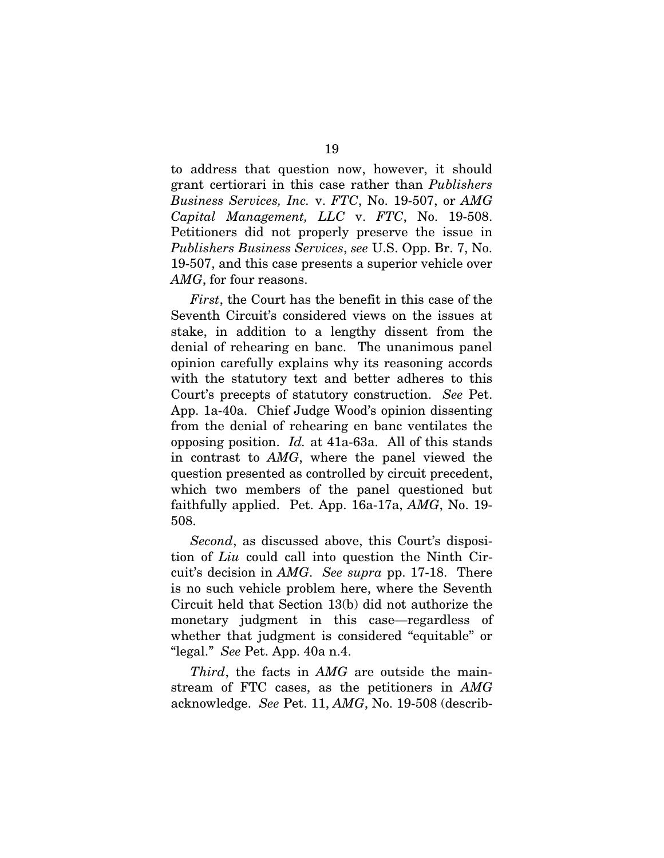to address that question now, however, it should grant certiorari in this case rather than *Publishers Business Services, Inc.* v. *FTC*, No. 19-507, or *AMG Capital Management, LLC* v. *FTC*, No. 19-508. Petitioners did not properly preserve the issue in *Publishers Business Services*, *see* U.S. Opp. Br. 7, No. 19-507, and this case presents a superior vehicle over *AMG*, for four reasons.

*First*, the Court has the benefit in this case of the Seventh Circuit's considered views on the issues at stake, in addition to a lengthy dissent from the denial of rehearing en banc. The unanimous panel opinion carefully explains why its reasoning accords with the statutory text and better adheres to this Court's precepts of statutory construction. *See* Pet. App. 1a-40a. Chief Judge Wood's opinion dissenting from the denial of rehearing en banc ventilates the opposing position. *Id.* at 41a-63a. All of this stands in contrast to *AMG*, where the panel viewed the question presented as controlled by circuit precedent, which two members of the panel questioned but faithfully applied. Pet. App. 16a-17a, *AMG*, No. 19- 508.

*Second*, as discussed above, this Court's disposition of *Liu* could call into question the Ninth Circuit's decision in *AMG*. *See supra* pp. 17-18. There is no such vehicle problem here, where the Seventh Circuit held that Section 13(b) did not authorize the monetary judgment in this case—regardless of whether that judgment is considered "equitable" or "legal." *See* Pet. App. 40a n.4.

*Third*, the facts in *AMG* are outside the mainstream of FTC cases, as the petitioners in *AMG* acknowledge. *See* Pet. 11, *AMG*, No. 19-508 (describ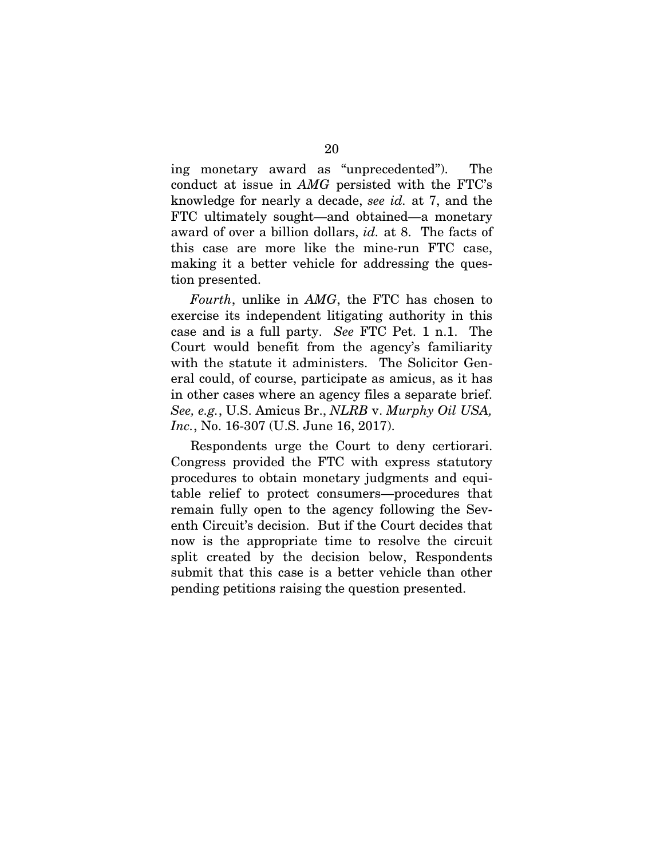ing monetary award as "unprecedented"). The conduct at issue in *AMG* persisted with the FTC's knowledge for nearly a decade, *see id.* at 7, and the FTC ultimately sought—and obtained—a monetary award of over a billion dollars, *id.* at 8. The facts of this case are more like the mine-run FTC case, making it a better vehicle for addressing the question presented.

*Fourth*, unlike in *AMG*, the FTC has chosen to exercise its independent litigating authority in this case and is a full party. *See* FTC Pet. 1 n.1. The Court would benefit from the agency's familiarity with the statute it administers. The Solicitor General could, of course, participate as amicus, as it has in other cases where an agency files a separate brief. *See, e.g.*, U.S. Amicus Br., *NLRB* v. *Murphy Oil USA, Inc.*, No. 16-307 (U.S. June 16, 2017).

Respondents urge the Court to deny certiorari. Congress provided the FTC with express statutory procedures to obtain monetary judgments and equitable relief to protect consumers—procedures that remain fully open to the agency following the Seventh Circuit's decision. But if the Court decides that now is the appropriate time to resolve the circuit split created by the decision below, Respondents submit that this case is a better vehicle than other pending petitions raising the question presented.